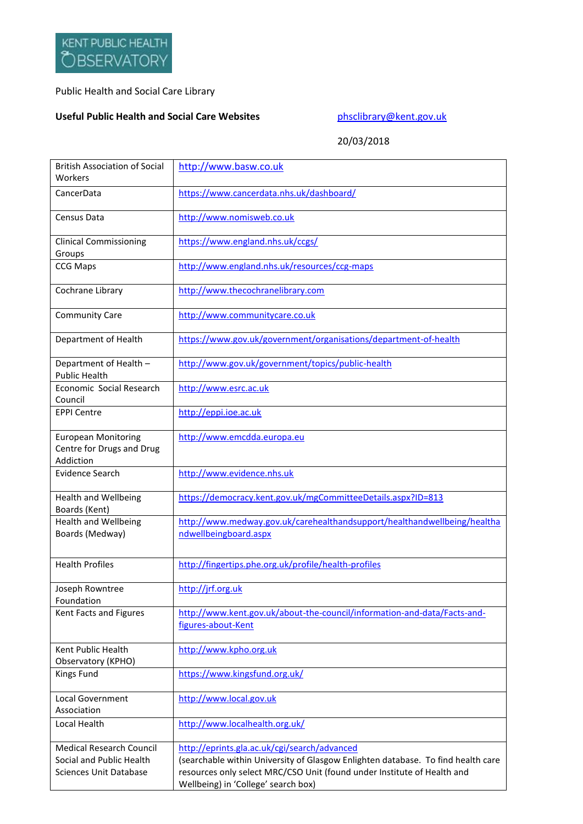## Public Health and Social Care Library

## **Useful Public Health and Social Care Websites [phsclibrary@kent.gov.uk](mailto:phsclibrary@kent.gov.uk)**

20/03/2018

| <b>British Association of Social</b><br>Workers                                              | http://www.basw.co.uk                                                                                                                                                                                                                              |
|----------------------------------------------------------------------------------------------|----------------------------------------------------------------------------------------------------------------------------------------------------------------------------------------------------------------------------------------------------|
| CancerData                                                                                   | https://www.cancerdata.nhs.uk/dashboard/                                                                                                                                                                                                           |
| Census Data                                                                                  | http://www.nomisweb.co.uk                                                                                                                                                                                                                          |
| <b>Clinical Commissioning</b><br>Groups                                                      | https://www.england.nhs.uk/ccgs/                                                                                                                                                                                                                   |
| <b>CCG Maps</b>                                                                              | http://www.england.nhs.uk/resources/ccg-maps                                                                                                                                                                                                       |
| Cochrane Library                                                                             | http://www.thecochranelibrary.com                                                                                                                                                                                                                  |
| <b>Community Care</b>                                                                        | http://www.communitycare.co.uk                                                                                                                                                                                                                     |
| Department of Health                                                                         | https://www.gov.uk/government/organisations/department-of-health                                                                                                                                                                                   |
| Department of Health -<br><b>Public Health</b>                                               | http://www.gov.uk/government/topics/public-health                                                                                                                                                                                                  |
| Economic Social Research<br>Council                                                          | http://www.esrc.ac.uk                                                                                                                                                                                                                              |
| <b>EPPI Centre</b>                                                                           | http://eppi.ioe.ac.uk                                                                                                                                                                                                                              |
| <b>European Monitoring</b><br>Centre for Drugs and Drug<br>Addiction                         | http://www.emcdda.europa.eu                                                                                                                                                                                                                        |
| <b>Evidence Search</b>                                                                       | http://www.evidence.nhs.uk                                                                                                                                                                                                                         |
| <b>Health and Wellbeing</b><br>Boards (Kent)                                                 | https://democracy.kent.gov.uk/mgCommitteeDetails.aspx?ID=813                                                                                                                                                                                       |
| <b>Health and Wellbeing</b><br>Boards (Medway)                                               | http://www.medway.gov.uk/carehealthandsupport/healthandwellbeing/healtha<br>ndwellbeingboard.aspx                                                                                                                                                  |
| <b>Health Profiles</b>                                                                       | http://fingertips.phe.org.uk/profile/health-profiles                                                                                                                                                                                               |
| Joseph Rowntree<br>Foundation                                                                | http://jrf.org.uk                                                                                                                                                                                                                                  |
| Kent Facts and Figures                                                                       | http://www.kent.gov.uk/about-the-council/information-and-data/Facts-and-<br>figures-about-Kent                                                                                                                                                     |
| Kent Public Health<br>Observatory (KPHO)                                                     | http://www.kpho.org.uk                                                                                                                                                                                                                             |
| Kings Fund                                                                                   | https://www.kingsfund.org.uk/                                                                                                                                                                                                                      |
| Local Government<br>Association                                                              | http://www.local.gov.uk                                                                                                                                                                                                                            |
| Local Health                                                                                 | http://www.localhealth.org.uk/                                                                                                                                                                                                                     |
| <b>Medical Research Council</b><br>Social and Public Health<br><b>Sciences Unit Database</b> | http://eprints.gla.ac.uk/cgi/search/advanced<br>(searchable within University of Glasgow Enlighten database. To find health care<br>resources only select MRC/CSO Unit (found under Institute of Health and<br>Wellbeing) in 'College' search box) |